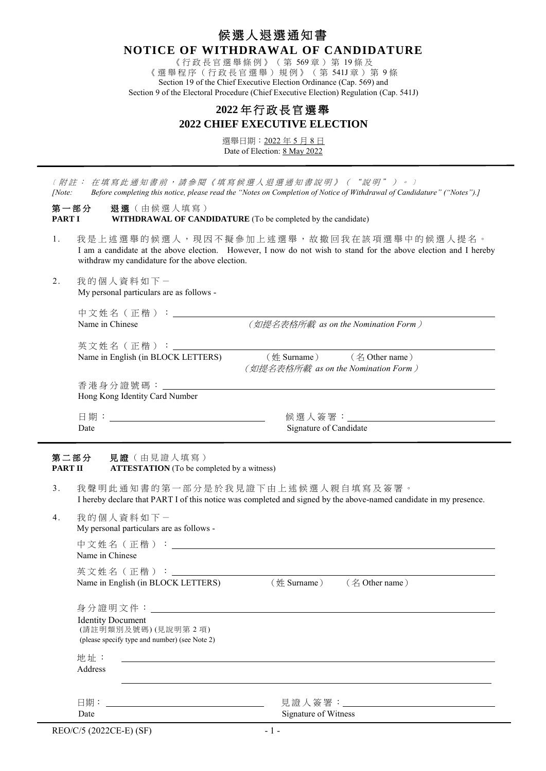# 候選人退選通知書 **NOTICE OF WITHDRAWAL OF CANDIDATURE**

《行政長官選舉條例》(第 569 章)第 19 條 及 《選舉程序(行政長官選舉)規例》(第 541J 章) 第 9 條 Section 19 of the Chief Executive Election Ordinance (Cap. 569) and Section 9 of the Electoral Procedure (Chief Executive Election) Regulation (Cap. 541J)

# **2022** 年 行政長官選舉 **2022 CHIEF EXECUTIVE ELECTION**

選舉日期:2022 年 5 月 8 日 Date of Election: 8 May 2022

〔 附註: 在填寫此通知書前,請參閱《填寫候選人退選通知書說明》 ( "說明") 。〕 *[Note: Before completing this notice, please read the "Notes on Completion of Notice of Withdrawal of Candidature" ("Notes").]*

第一部分 退選(由候選人填寫) **PART <b>I WITHDRAWAL OF CANDIDATURE** (To be completed by the candidate)

- 1. 我是上述選舉的候選人,現因不擬參加上述選舉,故撤回我在該項選舉中的候選人提名。 I am a candidate at the above election. However, I now do not wish to stand for the above election and I hereby withdraw my candidature for the above election.
- 2. 我 的個人資料如下- My personal particulars are as follows -

| 中文姓名(正楷):<br>Name in Chinese       | (如提名表格所載 as on the Nomination Form )         |
|------------------------------------|----------------------------------------------|
| 英文姓名 (正楷): _____                   | $(\text{# Surname})$ $(\text{# Other name})$ |
| Name in English (in BLOCK LETTERS) | (如提名表格所載 as on the Nomination Form )         |
| Hong Kong Identity Card Number     |                                              |
|                                    | ・候 選 人 簽 署 : こうしょう しょうしょう はんしょう はんしょう        |
| Date                               | Signature of Candidate                       |

### 第二部分 見證 (由見證人填寫) **PART II ATTESTATION** (To be completed by a witness)

- 3. 我聲明此通知書的第一部分是於我見證下由上述候選人親自填寫及簽署。 I hereby declare that PART I of this notice was completed and signed by the above-named candidate in my presence.
- 4. 我的個人資料如下一 My personal particulars are as follows -

| 中文姓名 (正楷):                         |                            |  |
|------------------------------------|----------------------------|--|
| Name in Chinese                    |                            |  |
| 英文姓名(正楷):                          |                            |  |
| Name in English (in BLOCK LETTERS) | (姓 Surname) (名 Other name) |  |
|                                    |                            |  |

| 身分證明文件: 2000<br><b>Identity Document</b><br>(請註明類別及號碼)(見說明第2項)<br>(please specify type and number) (see Note 2) |                          |
|-----------------------------------------------------------------------------------------------------------------|--------------------------|
| 地址:                                                                                                             |                          |
| Address                                                                                                         |                          |
|                                                                                                                 |                          |
|                                                                                                                 |                          |
|                                                                                                                 | 見證人簽署:__________________ |
| Date                                                                                                            | Signature of Witness     |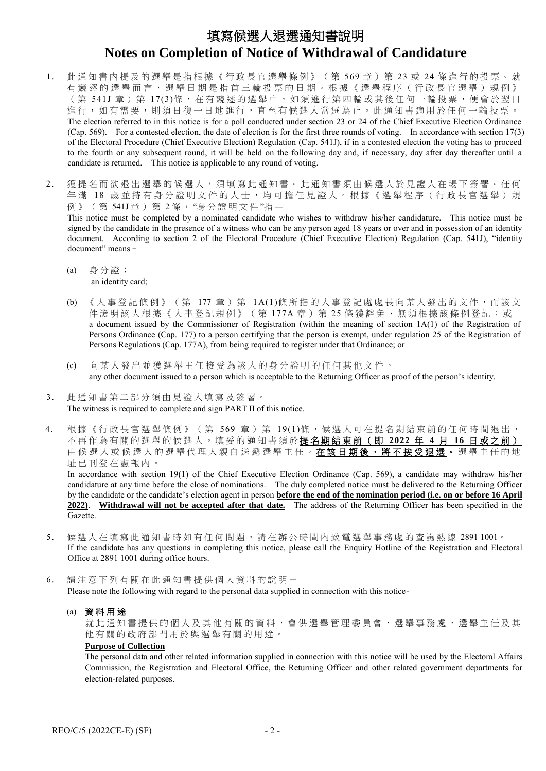# 填寫候選人退選通知書說明 **Notes on Completion of Notice of Withdrawal of Candidature**

- 1. 此 通知書內提及的選舉是指根據《行政長官選舉條例》(第 569 章)第 23 或 24 條進行的投票。就 有競逐的選舉而言, 選舉日期是指首三輪投票的日期。根據《選舉程序(行政長官選舉)規例》 (第 541J 章) 第 17(3)條, 在有競逐的選舉中, 如須進行第四輪或其後任何一輪投票, 便會於翌日 進行,如有需要,則須日復一日地進行,直至有候選人當選為止。此通知書適用於任何一輪投票。 The election referred to in this notice is for a poll conducted under section 23 or 24 of the Chief Executive Election Ordinance (Cap. 569). For a contested election, the date of election is for the first three rounds of voting. In accordance with section 17(3) of the Electoral Procedure (Chief Executive Election) Regulation (Cap. 541J), if in a contested election the voting has to proceed to the fourth or any subsequent round, it will be held on the following day and, if necessary, day after day thereafter until a candidate is returned. This notice is applicable to any round of voting.
- 2. 獲提名而欲退出選舉的候選人,須填寫此通知書。此通知書須由候選人於見證人在場下簽署。任何 年滿 18 歲並持有身分證明文件的人士,均可擔任見證人。根據《選舉程序(行政長官選舉)規 例》(第 541J 章) 第 2 條, "身分證明文件"指一 This notice must be completed by a nominated candidate who wishes to withdraw his/her candidature. This notice must be signed by the candidate in the presence of a witness who can be any person aged 18 years or over and in possession of an identity document. According to section 2 of the Electoral Procedure (Chief Executive Election) Regulation (Cap. 541J), "identity document" means–
	- (a) 身 分證; an identity card;
	- (b) 《人事登記條例》(第 177 章)第 1A(1)條所指的人事登記處處長向某人發出的文件,而該文 件證明該人根據《人事登記規例》(第177A章)第 25 條獲豁免,無須根據該條例登記;或 a document issued by the Commissioner of Registration (within the meaning of section 1A(1) of the Registration of Persons Ordinance (Cap. 177) to a person certifying that the person is exempt, under regulation 25 of the Registration of Persons Regulations (Cap. 177A), from being required to register under that Ordinance; or
	- (c) 向某人發出並獲選舉主任接受為該人的身分證明的任何其他文件。 any other document issued to a person which is acceptable to the Returning Officer as proof of the person's identity.
- 3. 此通知書第二部分須由見證人填寫及簽署。 The witness is required to complete and sign PART II of this notice.
- 4. 根據《行政長官選舉條例》(第 569 章)第 19(1)條,候選人可在提名期結束前的任何時間退出, 不再作為 有關的 選舉的候選人 。 填妥的通知書須於 提名期結束前(即 **2022** 年 **4** 月 **16** 日或之前) 由候選人或候選人的選舉代理人親自送遞選舉主任。在該日期後,將不接受退選。選舉主任的地 址已刊登在憲報內。

In accordance with section 19(1) of the Chief Executive Election Ordinance (Cap. 569), a candidate may withdraw his/her candidature at any time before the close of nominations. The duly completed notice must be delivered to the Returning Officer by the candidate or the candidate's election agent in person **before the end of the nomination period (i.e. on or before 16 April 2022)**. **Withdrawal will not be accepted after that date.** The address of the Returning Officer has been specified in the Gazette.

- 5. 候選人在填寫此通知書時如有任何問題,請在辦公時間內致電選舉事務處的查詢熱線 2891 1001。 If the candidate has any questions in completing this notice, please call the Enquiry Hotline of the Registration and Electoral Office at 2891 1001 during office hours.
- 6. 請注意下列有關在此通知書提供個人資料的說明- Please note the following with regard to the personal data supplied in connection with this notice-

#### (a) 資料用途

就此通知書提供的個人及其他有關的資料,會供選舉管理委員會、選舉事務處、選舉主任及其 他 有關的政府部門用於與選舉有關的用途。

## **Purpose of Collection**

The personal data and other related information supplied in connection with this notice will be used by the Electoral Affairs Commission, the Registration and Electoral Office, the Returning Officer and other related government departments for election-related purposes.